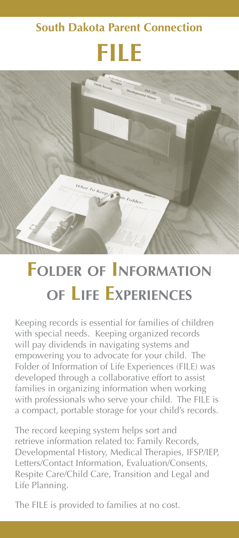## **South Dakota Parent Connection**





## **Folder of Information of Life Experiences**

Keeping records is essential for families of children with special needs. Keeping organized records will pay dividends in navigating systems and empowering you to advocate for your child. The Folder of Information of Life Experiences (FILE) was developed through a collaborative effort to assist families in organizing information when working with professionals who serve your child. The FILE is a compact, portable storage for your child's records.

The record keeping system helps sort and retrieve information related to: Family Records, Developmental History, Medical Therapies, IFSP/IEP, Letters/Contact Information, Evaluation/Consents, Respite Care/Child Care, Transition and Legal and Life Planning.

The FILE is provided to families at no cost.